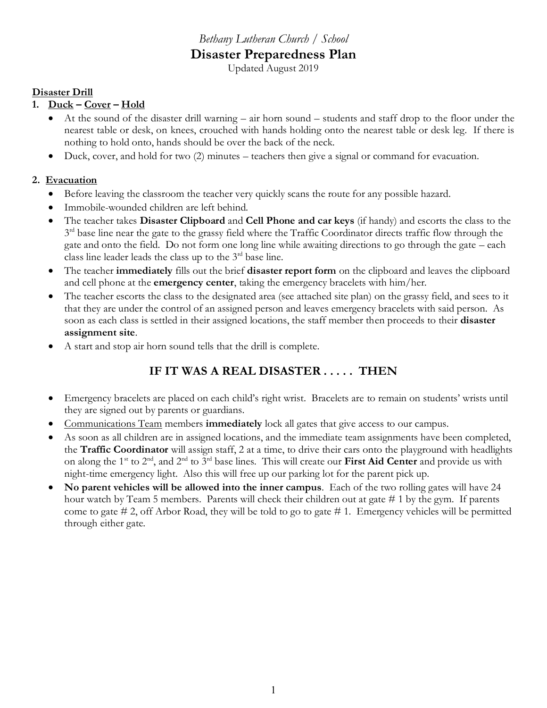# *Bethany Lutheran Church / School* **Disaster Preparedness Plan**

Updated August 2019

## **Disaster Drill**

# **1. Duck – Cover – Hold**

- At the sound of the disaster drill warning air horn sound students and staff drop to the floor under the nearest table or desk, on knees, crouched with hands holding onto the nearest table or desk leg. If there is nothing to hold onto, hands should be over the back of the neck.
- Duck, cover, and hold for two (2) minutes teachers then give a signal or command for evacuation.

## **2. Evacuation**

- Before leaving the classroom the teacher very quickly scans the route for any possible hazard.
- Immobile-wounded children are left behind.
- The teacher takes **Disaster Clipboard** and **Cell Phone and car keys** (if handy) and escorts the class to the  $3<sup>rd</sup>$  base line near the gate to the grassy field where the Traffic Coordinator directs traffic flow through the gate and onto the field. Do not form one long line while awaiting directions to go through the gate – each class line leader leads the class up to the  $3<sup>rd</sup>$  base line.
- The teacher **immediately** fills out the brief **disaster report form** on the clipboard and leaves the clipboard and cell phone at the **emergency center**, taking the emergency bracelets with him/her.
- The teacher escorts the class to the designated area (see attached site plan) on the grassy field, and sees to it that they are under the control of an assigned person and leaves emergency bracelets with said person. As soon as each class is settled in their assigned locations, the staff member then proceeds to their **disaster assignment site**.
- A start and stop air horn sound tells that the drill is complete.

# **IF IT WAS A REAL DISASTER . . . . . THEN**

- Emergency bracelets are placed on each child's right wrist. Bracelets are to remain on students' wrists until they are signed out by parents or guardians.
- Communications Team members **immediately** lock all gates that give access to our campus.
- As soon as all children are in assigned locations, and the immediate team assignments have been completed, the **Traffic Coordinator** will assign staff, 2 at a time, to drive their cars onto the playground with headlights on along the 1st to 2nd, and 2nd to 3rd base lines. This will create our **First Aid Center** and provide us with night-time emergency light. Also this will free up our parking lot for the parent pick up.
- **No parent vehicles will be allowed into the inner campus**. Each of the two rolling gates will have 24 hour watch by Team 5 members. Parents will check their children out at gate # 1 by the gym. If parents come to gate # 2, off Arbor Road, they will be told to go to gate # 1. Emergency vehicles will be permitted through either gate.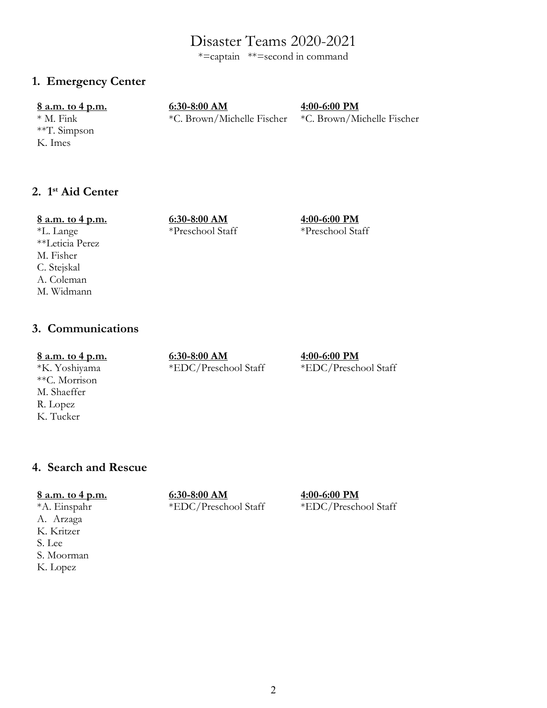# Disaster Teams 2020-2021

\*=captain \*\*=second in command

# **1. Emergency Center**

\*\*T. Simpson K. Imes

**8 a.m. to 4 p.m. 6:30-8:00 AM 4:00-6:00 PM**

\* M. Fink \*C. Brown/Michelle Fischer \*C. Brown/Michelle Fischer

# **2. 1st Aid Center**

#### **8 a.m. to 4 p.m. 6:30-8:00 AM 4:00-6:00 PM**

# \*L. Lange \*Preschool Staff \*Preschool Staff

\*\*Leticia Perez M. Fisher C. Stejskal A. Coleman M. Widmann

# **3. Communications**

#### **8 a.m. to 4 p.m. 6:30-8:00 AM 4:00-6:00 PM**

\*\*C. Morrison M. Shaeffer R. Lopez K. Tucker

\*K. Yoshiyama \*EDC/Preschool Staff \*EDC/Preschool Staff

# **4. Search and Rescue**

**8 a.m. to 4 p.m. 6:30-8:00 AM 4:00-6:00 PM**

\*A. Einspahr \*EDC/Preschool Staff \*EDC/Preschool Staff

A. Arzaga K. Kritzer S. Lee S. Moorman K. Lopez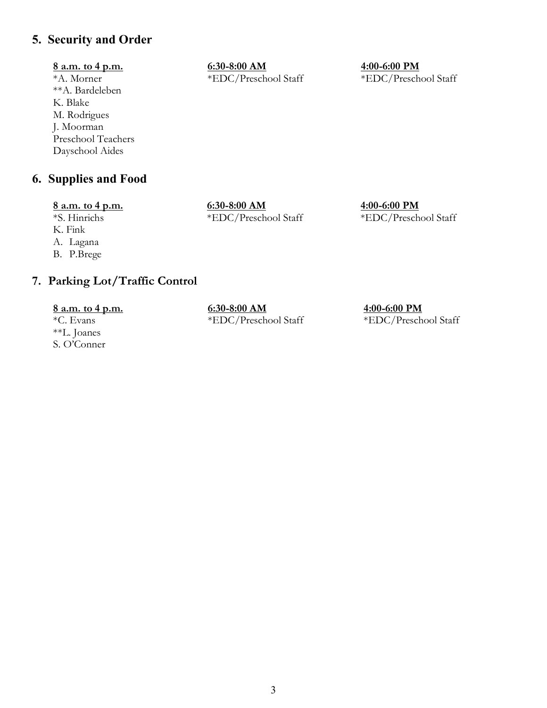# **5. Security and Order**

\*\*A. Bardeleben K. Blake M. Rodrigues J. Moorman Preschool Teachers Dayschool Aides

# **6. Supplies and Food**

K. Fink A. Lagana

B. P.Brege

# **8 a.m. to 4 p.m. 6:30-8:00 AM 4:00-6:00 PM**

\*A. Morner \*EDC/Preschool Staff \*EDC/Preschool Staff

**8 a.m. to 4 p.m. 6:30-8:00 AM 4:00-6:00 PM** \*S. Hinrichs \*EDC/Preschool Staff \*EDC/Preschool Staff

# **7. Parking Lot/Traffic Control**

\*\*L. Joanes S. O'Conner

**8 a.m. to 4 p.m. 6:30-8:00 AM 4:00-6:00 PM** \*C. Evans \*EDC/Preschool Staff \*EDC/Preschool Staff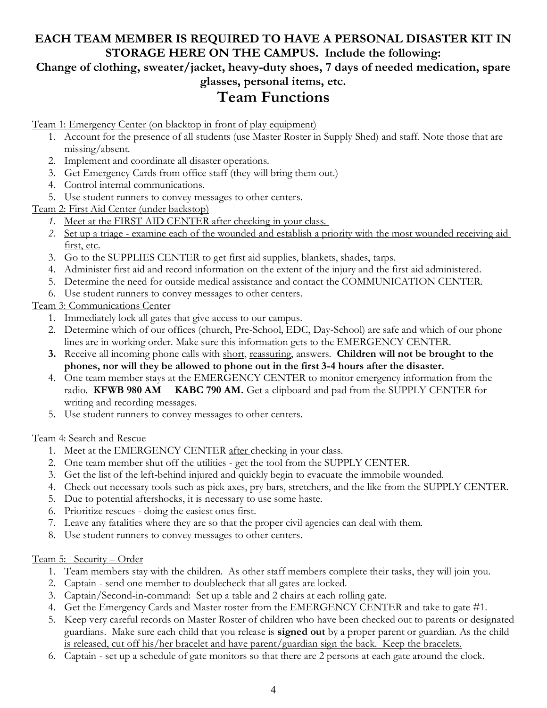# **EACH TEAM MEMBER IS REQUIRED TO HAVE A PERSONAL DISASTER KIT IN STORAGE HERE ON THE CAMPUS. Include the following:**

# **Change of clothing, sweater/jacket, heavy-duty shoes, 7 days of needed medication, spare glasses, personal items, etc.**

# **Team Functions**

Team 1: Emergency Center (on blacktop in front of play equipment)

- 1. Account for the presence of all students (use Master Roster in Supply Shed) and staff. Note those that are missing/absent.
- 2. Implement and coordinate all disaster operations.
- 3. Get Emergency Cards from office staff (they will bring them out.)
- 4. Control internal communications.
- 5. Use student runners to convey messages to other centers.

Team 2: First Aid Center (under backstop)

- *1.* Meet at the FIRST AID CENTER after checking in your class.
- *2.* Set up a triage examine each of the wounded and establish a priority with the most wounded receiving aid first, etc.
- 3. Go to the SUPPLIES CENTER to get first aid supplies, blankets, shades, tarps.
- 4. Administer first aid and record information on the extent of the injury and the first aid administered.
- 5. Determine the need for outside medical assistance and contact the COMMUNICATION CENTER.
- 6. Use student runners to convey messages to other centers.

# Team 3: Communications Center

- 1. Immediately lock all gates that give access to our campus.
- 2. Determine which of our offices (church, Pre-School, EDC, Day-School) are safe and which of our phone lines are in working order. Make sure this information gets to the EMERGENCY CENTER.
- **3.** Receive all incoming phone calls with short, reassuring, answers. **Children will not be brought to the phones, nor will they be allowed to phone out in the first 3-4 hours after the disaster.**
- 4. One team member stays at the EMERGENCY CENTER to monitor emergency information from the radio. **KFWB 980 AM KABC 790 AM.** Get a clipboard and pad from the SUPPLY CENTER for writing and recording messages.
- 5. Use student runners to convey messages to other centers.

## Team 4: Search and Rescue

- 1. Meet at the EMERGENCY CENTER after checking in your class.
- 2. One team member shut off the utilities get the tool from the SUPPLY CENTER.
- 3. Get the list of the left-behind injured and quickly begin to evacuate the immobile wounded.
- 4. Check out necessary tools such as pick axes, pry bars, stretchers, and the like from the SUPPLY CENTER.
- 5. Due to potential aftershocks, it is necessary to use some haste.
- 6. Prioritize rescues doing the easiest ones first.
- 7. Leave any fatalities where they are so that the proper civil agencies can deal with them.
- 8. Use student runners to convey messages to other centers.

## Team 5: Security – Order

- 1. Team members stay with the children. As other staff members complete their tasks, they will join you.
- 2. Captain send one member to doublecheck that all gates are locked.
- 3. Captain/Second-in-command: Set up a table and 2 chairs at each rolling gate.
- 4. Get the Emergency Cards and Master roster from the EMERGENCY CENTER and take to gate #1.
- 5. Keep very careful records on Master Roster of children who have been checked out to parents or designated guardians. Make sure each child that you release is **signed out** by a proper parent or guardian. As the child is released, cut off his/her bracelet and have parent/guardian sign the back. Keep the bracelets.
- 6. Captain set up a schedule of gate monitors so that there are 2 persons at each gate around the clock.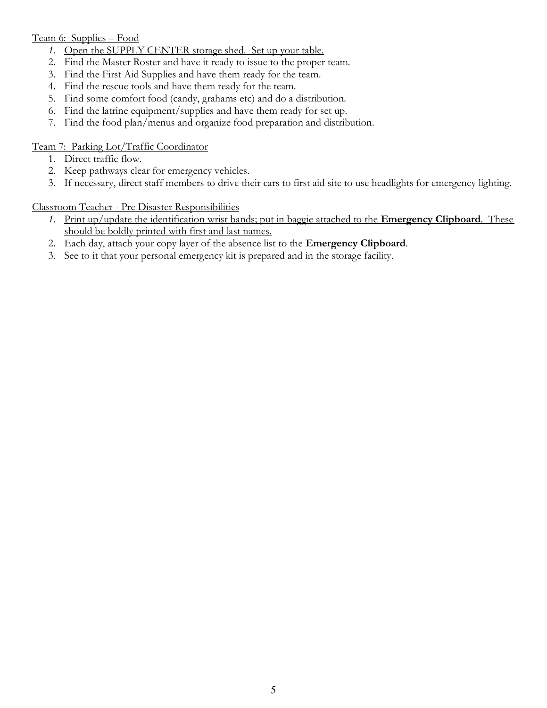### Team 6: Supplies – Food

- *1.* Open the SUPPLY CENTER storage shed. Set up your table.
- 2. Find the Master Roster and have it ready to issue to the proper team.
- 3. Find the First Aid Supplies and have them ready for the team.
- 4. Find the rescue tools and have them ready for the team.
- 5. Find some comfort food (candy, grahams etc) and do a distribution.
- 6. Find the latrine equipment/supplies and have them ready for set up.
- 7. Find the food plan/menus and organize food preparation and distribution.

### Team 7: Parking Lot/Traffic Coordinator

- 1. Direct traffic flow.
- 2. Keep pathways clear for emergency vehicles.
- 3. If necessary, direct staff members to drive their cars to first aid site to use headlights for emergency lighting.

#### Classroom Teacher - Pre Disaster Responsibilities

- *1.* Print up/update the identification wrist bands; put in baggie attached to the **Emergency Clipboard**. These should be boldly printed with first and last names.
- 2. Each day, attach your copy layer of the absence list to the **Emergency Clipboard**.
- 3. See to it that your personal emergency kit is prepared and in the storage facility.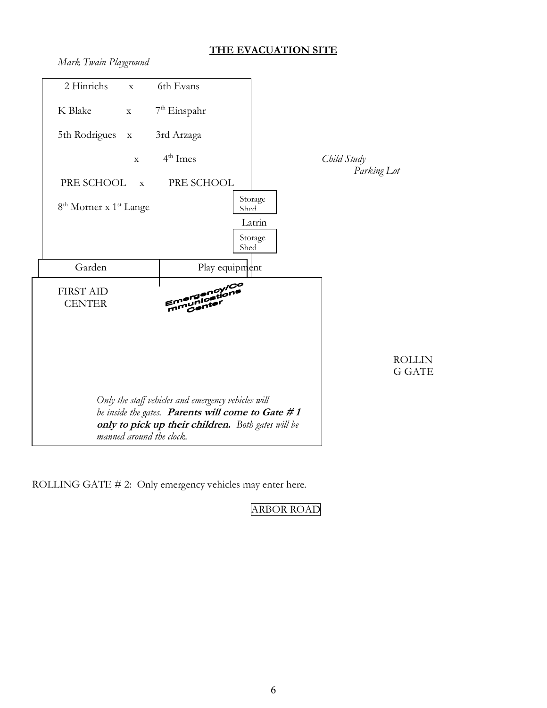# **THE EVACUATION SITE**

*Mark Twain Playground*



ROLLING GATE # 2: Only emergency vehicles may enter here.

ARBOR ROAD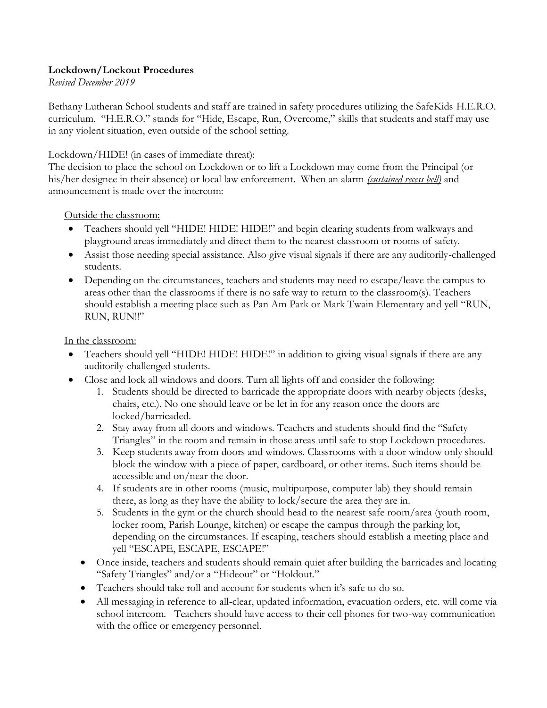### **Lockdown/Lockout Procedures**

*Revised December 2019*

Bethany Lutheran School students and staff are trained in safety procedures utilizing the SafeKids H.E.R.O. curriculum. "H.E.R.O." stands for "Hide, Escape, Run, Overcome," skills that students and staff may use in any violent situation, even outside of the school setting.

#### Lockdown/HIDE! (in cases of immediate threat):

The decision to place the school on Lockdown or to lift a Lockdown may come from the Principal (or his/her designee in their absence) or local law enforcement. When an alarm *(sustained recess bell)* and announcement is made over the intercom:

Outside the classroom:

- Teachers should yell "HIDE! HIDE! HIDE!" and begin clearing students from walkways and playground areas immediately and direct them to the nearest classroom or rooms of safety.
- Assist those needing special assistance. Also give visual signals if there are any auditorily-challenged students.
- Depending on the circumstances, teachers and students may need to escape/leave the campus to areas other than the classrooms if there is no safe way to return to the classroom(s). Teachers should establish a meeting place such as Pan Am Park or Mark Twain Elementary and yell "RUN, RUN, RUN!!"

In the classroom:

- Teachers should yell "HIDE! HIDE! HIDE!" in addition to giving visual signals if there are any auditorily-challenged students.
- Close and lock all windows and doors. Turn all lights off and consider the following:
	- 1. Students should be directed to barricade the appropriate doors with nearby objects (desks, chairs, etc.). No one should leave or be let in for any reason once the doors are locked/barricaded.
	- 2. Stay away from all doors and windows. Teachers and students should find the "Safety Triangles" in the room and remain in those areas until safe to stop Lockdown procedures.
	- 3. Keep students away from doors and windows. Classrooms with a door window only should block the window with a piece of paper, cardboard, or other items. Such items should be accessible and on/near the door.
	- 4. If students are in other rooms (music, multipurpose, computer lab) they should remain there, as long as they have the ability to lock/secure the area they are in.
	- 5. Students in the gym or the church should head to the nearest safe room/area (youth room, locker room, Parish Lounge, kitchen) or escape the campus through the parking lot, depending on the circumstances. If escaping, teachers should establish a meeting place and yell "ESCAPE, ESCAPE, ESCAPE!"
	- Once inside, teachers and students should remain quiet after building the barricades and locating "Safety Triangles" and/or a "Hideout" or "Holdout."
	- Teachers should take roll and account for students when it's safe to do so.
	- All messaging in reference to all-clear, updated information, evacuation orders, etc. will come via school intercom. Teachers should have access to their cell phones for two-way communication with the office or emergency personnel.